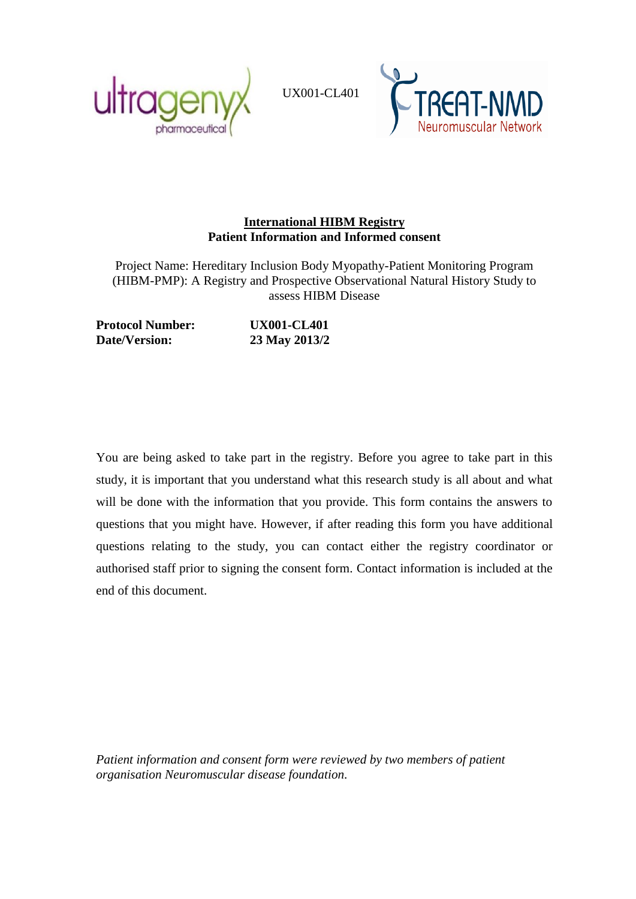

UX001-CL401



## **International HIBM Registry Patient Information and Informed consent**

Project Name: Hereditary Inclusion Body Myopathy-Patient Monitoring Program (HIBM-PMP): A Registry and Prospective Observational Natural History Study to assess HIBM Disease

**Protocol Number: UX001-CL401 Date/Version: 23 May 2013/2**

You are being asked to take part in the registry. Before you agree to take part in this study, it is important that you understand what this research study is all about and what will be done with the information that you provide. This form contains the answers to questions that you might have. However, if after reading this form you have additional questions relating to the study, you can contact either the registry coordinator or authorised staff prior to signing the consent form. Contact information is included at the end of this document.

*Patient information and consent form were reviewed by two members of patient organisation Neuromuscular disease foundation.*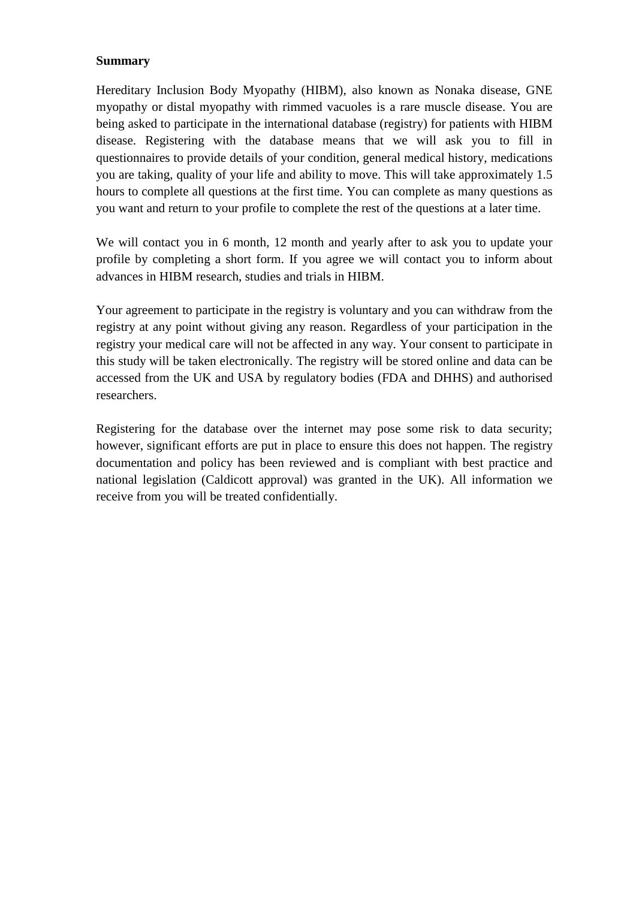## **Summary**

Hereditary Inclusion Body Myopathy (HIBM), also known as Nonaka disease, GNE myopathy or distal myopathy with rimmed vacuoles is a rare muscle disease. You are being asked to participate in the international database (registry) for patients with HIBM disease. Registering with the database means that we will ask you to fill in questionnaires to provide details of your condition, general medical history, medications you are taking, quality of your life and ability to move. This will take approximately 1.5 hours to complete all questions at the first time. You can complete as many questions as you want and return to your profile to complete the rest of the questions at a later time.

We will contact you in 6 month, 12 month and yearly after to ask you to update your profile by completing a short form. If you agree we will contact you to inform about advances in HIBM research, studies and trials in HIBM.

Your agreement to participate in the registry is voluntary and you can withdraw from the registry at any point without giving any reason. Regardless of your participation in the registry your medical care will not be affected in any way. Your consent to participate in this study will be taken electronically. The registry will be stored online and data can be accessed from the UK and USA by regulatory bodies (FDA and DHHS) and authorised researchers.

Registering for the database over the internet may pose some risk to data security; however, significant efforts are put in place to ensure this does not happen. The registry documentation and policy has been reviewed and is compliant with best practice and national legislation (Caldicott approval) was granted in the UK). All information we receive from you will be treated confidentially.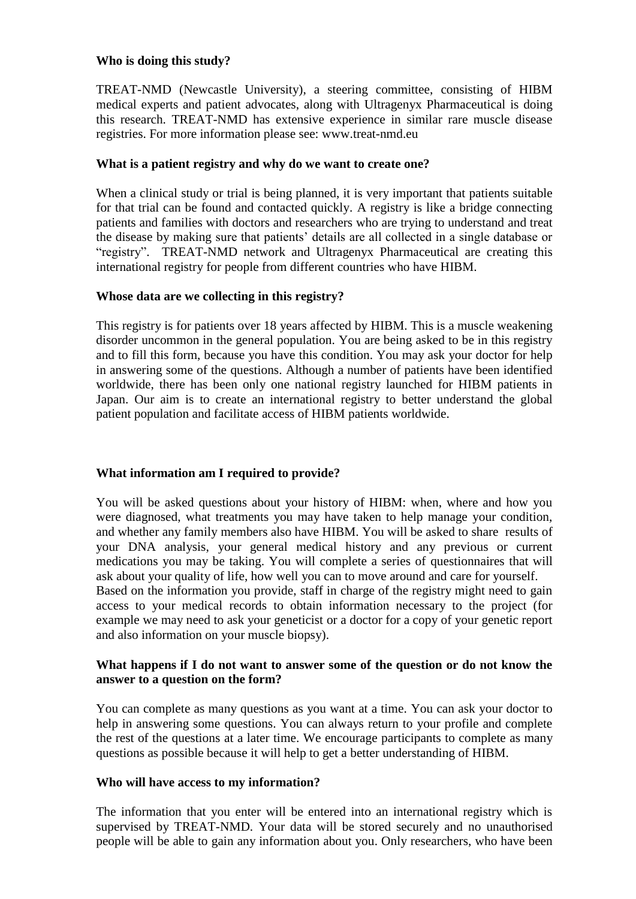#### **Who is doing this study?**

TREAT-NMD (Newcastle University), a steering committee, consisting of HIBM medical experts and patient advocates, along with Ultragenyx Pharmaceutical is doing this research. TREAT-NMD has extensive experience in similar rare muscle disease registries. For more information please see: www.treat-nmd.eu

## **What is a patient registry and why do we want to create one?**

When a clinical study or trial is being planned, it is very important that patients suitable for that trial can be found and contacted quickly. A registry is like a bridge connecting patients and families with doctors and researchers who are trying to understand and treat the disease by making sure that patients' details are all collected in a single database or "registry". TREAT-NMD network and Ultragenyx Pharmaceutical are creating this international registry for people from different countries who have HIBM.

## **Whose data are we collecting in this registry?**

This registry is for patients over 18 years affected by HIBM. This is a muscle weakening disorder uncommon in the general population. You are being asked to be in this registry and to fill this form, because you have this condition. You may ask your doctor for help in answering some of the questions. Although a number of patients have been identified worldwide, there has been only one national registry launched for HIBM patients in Japan. Our aim is to create an international registry to better understand the global patient population and facilitate access of HIBM patients worldwide.

# **What information am I required to provide?**

You will be asked questions about your history of HIBM: when, where and how you were diagnosed, what treatments you may have taken to help manage your condition, and whether any family members also have HIBM. You will be asked to share results of your DNA analysis, your general medical history and any previous or current medications you may be taking. You will complete a series of questionnaires that will ask about your quality of life, how well you can to move around and care for yourself. Based on the information you provide, staff in charge of the registry might need to gain access to your medical records to obtain information necessary to the project (for example we may need to ask your geneticist or a doctor for a copy of your genetic report and also information on your muscle biopsy).

## **What happens if I do not want to answer some of the question or do not know the answer to a question on the form?**

You can complete as many questions as you want at a time. You can ask your doctor to help in answering some questions. You can always return to your profile and complete the rest of the questions at a later time. We encourage participants to complete as many questions as possible because it will help to get a better understanding of HIBM.

#### **Who will have access to my information?**

The information that you enter will be entered into an international registry which is supervised by TREAT-NMD. Your data will be stored securely and no unauthorised people will be able to gain any information about you. Only researchers, who have been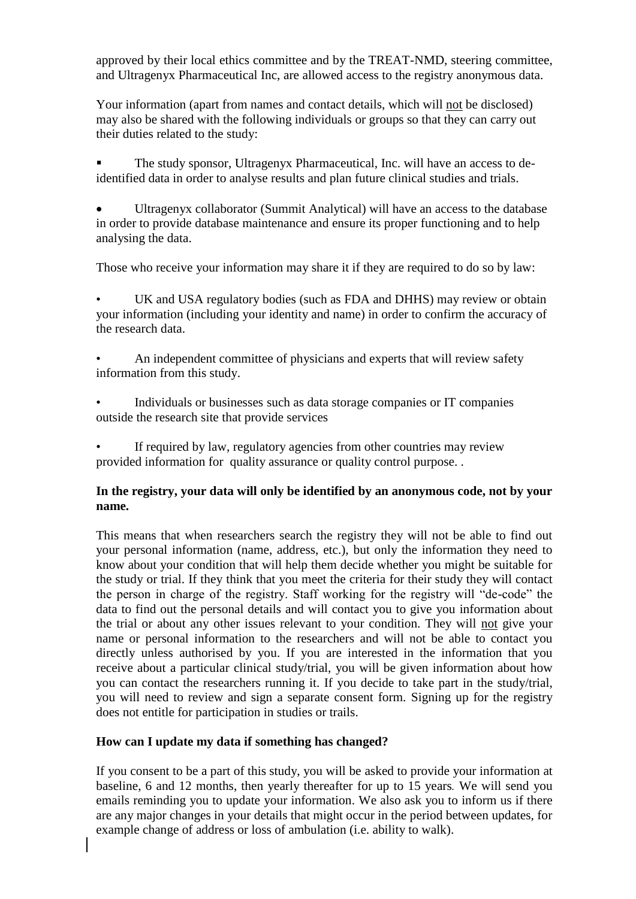approved by their local ethics committee and by the TREAT-NMD, steering committee, and Ultragenyx Pharmaceutical Inc, are allowed access to the registry anonymous data.

Your information (apart from names and contact details, which will not be disclosed) may also be shared with the following individuals or groups so that they can carry out their duties related to the study:

 The study sponsor, Ultragenyx Pharmaceutical, Inc. will have an access to deidentified data in order to analyse results and plan future clinical studies and trials.

 Ultragenyx collaborator (Summit Analytical) will have an access to the database in order to provide database maintenance and ensure its proper functioning and to help analysing the data.

Those who receive your information may share it if they are required to do so by law:

• UK and USA regulatory bodies (such as FDA and DHHS) may review or obtain your information (including your identity and name) in order to confirm the accuracy of the research data.

• An independent committee of physicians and experts that will review safety information from this study.

• Individuals or businesses such as data storage companies or IT companies outside the research site that provide services

If required by law, regulatory agencies from other countries may review provided information for quality assurance or quality control purpose. .

## **In the registry, your data will only be identified by an anonymous code, not by your name.**

This means that when researchers search the registry they will not be able to find out your personal information (name, address, etc.), but only the information they need to know about your condition that will help them decide whether you might be suitable for the study or trial. If they think that you meet the criteria for their study they will contact the person in charge of the registry. Staff working for the registry will "de-code" the data to find out the personal details and will contact you to give you information about the trial or about any other issues relevant to your condition. They will not give your name or personal information to the researchers and will not be able to contact you directly unless authorised by you. If you are interested in the information that you receive about a particular clinical study/trial, you will be given information about how you can contact the researchers running it. If you decide to take part in the study/trial, you will need to review and sign a separate consent form. Signing up for the registry does not entitle for participation in studies or trails.

## **How can I update my data if something has changed?**

If you consent to be a part of this study, you will be asked to provide your information at baseline, 6 and 12 months, then yearly thereafter for up to 15 years*.* We will send you emails reminding you to update your information. We also ask you to inform us if there are any major changes in your details that might occur in the period between updates, for example change of address or loss of ambulation (i.e. ability to walk).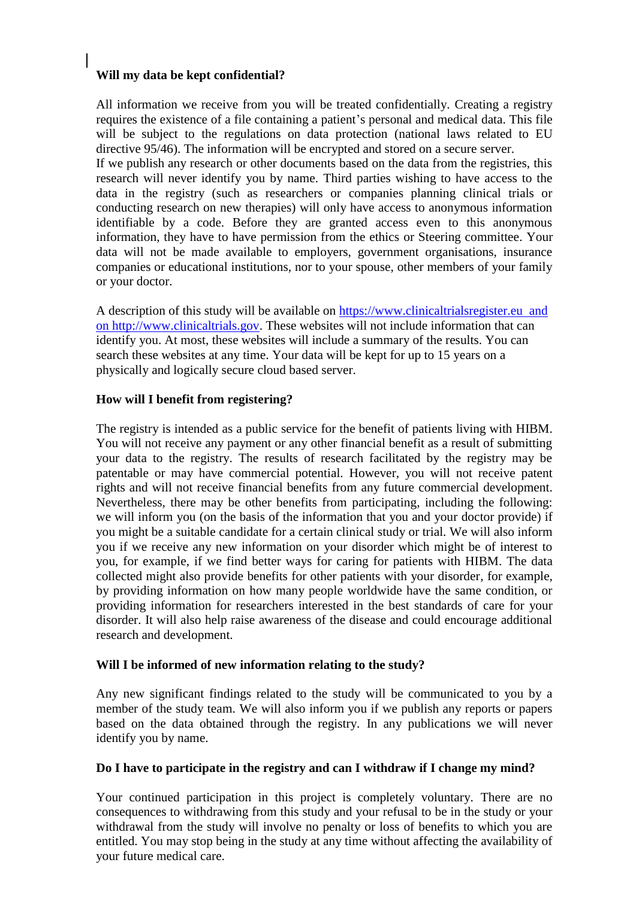# **Will my data be kept confidential?**

All information we receive from you will be treated confidentially. Creating a registry requires the existence of a file containing a patient's personal and medical data. This file will be subject to the regulations on data protection (national laws related to EU directive 95/46). The information will be encrypted and stored on a secure server. If we publish any research or other documents based on the data from the registries, this research will never identify you by name. Third parties wishing to have access to the data in the registry (such as researchers or companies planning clinical trials or conducting research on new therapies) will only have access to anonymous information identifiable by a code. Before they are granted access even to this anonymous information, they have to have permission from the ethics or Steering committee. Your data will not be made available to employers, government organisations, insurance companies or educational institutions, nor to your spouse, other members of your family or your doctor.

A description of this study will be available on [https://www.clinicaltrialsregister.eu](https://www.google.com/search?hl=en&biw=1661&bih=782&spell=1&q=https://www.clinicaltrialsregister.eu&sa=X&ei=AKUrUerpAaq3iwKEmIHQCg&ved=0CC8QBSgA) and on http://www.clinicaltrials.gov. These websites will not include information that can identify you. At most, these websites will include a summary of the results. You can search these websites at any time. Your data will be kept for up to 15 years on a physically and logically secure cloud based server.

## **How will I benefit from registering?**

The registry is intended as a public service for the benefit of patients living with HIBM. You will not receive any payment or any other financial benefit as a result of submitting your data to the registry. The results of research facilitated by the registry may be patentable or may have commercial potential. However, you will not receive patent rights and will not receive financial benefits from any future commercial development. Nevertheless, there may be other benefits from participating, including the following: we will inform you (on the basis of the information that you and your doctor provide) if you might be a suitable candidate for a certain clinical study or trial. We will also inform you if we receive any new information on your disorder which might be of interest to you, for example, if we find better ways for caring for patients with HIBM. The data collected might also provide benefits for other patients with your disorder, for example, by providing information on how many people worldwide have the same condition, or providing information for researchers interested in the best standards of care for your disorder. It will also help raise awareness of the disease and could encourage additional research and development.

#### **Will I be informed of new information relating to the study?**

Any new significant findings related to the study will be communicated to you by a member of the study team. We will also inform you if we publish any reports or papers based on the data obtained through the registry. In any publications we will never identify you by name.

#### **Do I have to participate in the registry and can I withdraw if I change my mind?**

Your continued participation in this project is completely voluntary. There are no consequences to withdrawing from this study and your refusal to be in the study or your withdrawal from the study will involve no penalty or loss of benefits to which you are entitled. You may stop being in the study at any time without affecting the availability of your future medical care.